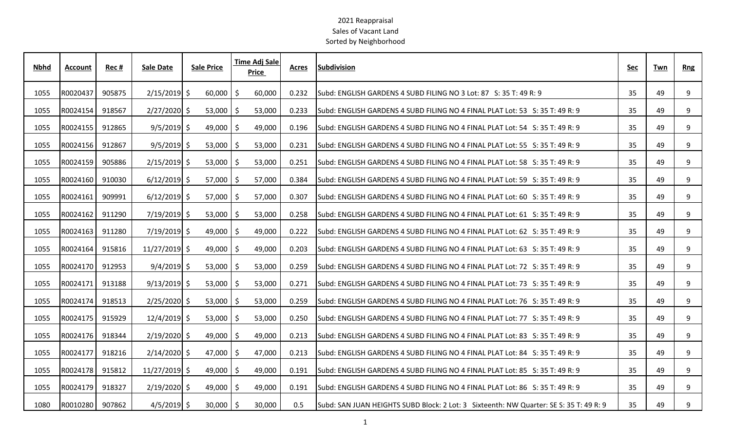| <b>Nbhd</b> | <b>Account</b> | Rec#   | <b>Sale Date</b> | <b>Sale Price</b> |    | Time Adj Sale<br>Price | <b>Acres</b> | <b>Subdivision</b>                                                                     | Sec | Twn | <b>Rng</b> |
|-------------|----------------|--------|------------------|-------------------|----|------------------------|--------------|----------------------------------------------------------------------------------------|-----|-----|------------|
| 1055        | R0020437       | 905875 | $2/15/2019$ \$   | 60,000            | -S | 60,000                 | 0.232        | Subd: ENGLISH GARDENS 4 SUBD FILING NO 3 Lot: 87 S: 35 T: 49 R: 9                      | 35  | 49  | 9          |
| 1055        | R0024154       | 918567 | $2/27/2020$ \$   | $53,000$   \$     |    | 53,000                 | 0.233        | Subd: ENGLISH GARDENS 4 SUBD FILING NO 4 FINAL PLAT Lot: 53 S: 35 T: 49 R: 9           | 35  | 49  | 9          |
| 1055        | R0024155       | 912865 | $9/5/2019$ \$    | $49,000$   \$     |    | 49,000                 | 0.196        | Subd: ENGLISH GARDENS 4 SUBD FILING NO 4 FINAL PLAT Lot: 54 S: 35 T: 49 R: 9           | 35  | 49  | 9          |
| 1055        | R0024156       | 912867 | $9/5/2019$ \$    | $53,000$   \$     |    | 53,000                 | 0.231        | lSubd: ENGLISH GARDENS 4 SUBD FILING NO 4 FINAL PLAT Lot: 55 S: 35 T: 49 R: 9          | 35  | 49  | 9          |
| 1055        | R0024159       | 905886 | $2/15/2019$ \$   | $53,000$   \$     |    | 53,000                 | 0.251        | Subd: ENGLISH GARDENS 4 SUBD FILING NO 4 FINAL PLAT Lot: 58 S: 35 T: 49 R: 9           | 35  | 49  | 9          |
| 1055        | R0024160       | 910030 | $6/12/2019$ \$   | 57,000            | -S | 57,000                 | 0.384        | Subd: ENGLISH GARDENS 4 SUBD FILING NO 4 FINAL PLAT Lot: 59 S: 35 T: 49 R: 9           | 35  | 49  | 9          |
| 1055        | R0024161       | 909991 | $6/12/2019$ \$   | $57,000$   \$     |    | 57,000                 | 0.307        | Subd: ENGLISH GARDENS 4 SUBD FILING NO 4 FINAL PLAT Lot: 60 S: 35 T: 49 R: 9           | 35  | 49  | 9          |
| 1055        | R0024162       | 911290 | $7/19/2019$ \$   | $53,000$   \$     |    | 53,000                 | 0.258        | Subd: ENGLISH GARDENS 4 SUBD FILING NO 4 FINAL PLAT Lot: 61 S: 35 T: 49 R: 9           | 35  | 49  | 9          |
| 1055        | R0024163       | 911280 | $7/19/2019$ \$   | $49,000$ \$       |    | 49,000                 | 0.222        | lSubd: ENGLISH GARDENS 4 SUBD FILING NO 4 FINAL PLAT Lot: 62 S: 35 T: 49 R: 9          | 35  | 49  | 9          |
| 1055        | R0024164       | 915816 | $11/27/2019$ \$  | $49,000$   \$     |    | 49,000                 | 0.203        | Subd: ENGLISH GARDENS 4 SUBD FILING NO 4 FINAL PLAT Lot: 63 S: 35 T: 49 R: 9           | 35  | 49  | 9          |
| 1055        | R0024170       | 912953 | $9/4/2019$ \$    | 53,000            |    | 53,000                 | 0.259        | Subd: ENGLISH GARDENS 4 SUBD FILING NO 4 FINAL PLAT Lot: 72 S: 35 T: 49 R: 9           | 35  | 49  | 9          |
| 1055        | R0024171       | 913188 | $9/13/2019$ \$   | $53,000$   \$     |    | 53,000                 | 0.271        | Subd: ENGLISH GARDENS 4 SUBD FILING NO 4 FINAL PLAT Lot: 73 S: 35 T: 49 R: 9           | 35  | 49  | 9          |
| 1055        | R0024174       | 918513 | $2/25/2020$ \$   | $53,000$   \$     |    | 53,000                 | 0.259        | Subd: ENGLISH GARDENS 4 SUBD FILING NO 4 FINAL PLAT Lot: 76 S: 35 T: 49 R: 9           | 35  | 49  | 9          |
| 1055        | R0024175       | 915929 | $12/4/2019$ \$   | $53,000$   \$     |    | 53,000                 | 0.250        | Subd: ENGLISH GARDENS 4 SUBD FILING NO 4 FINAL PLAT Lot: 77 S: 35 T: 49 R: 9           | 35  | 49  | 9          |
| 1055        | R0024176       | 918344 | $2/19/2020$ \$   | $49,000$   \$     |    | 49,000                 | 0.213        | Subd: ENGLISH GARDENS 4 SUBD FILING NO 4 FINAL PLAT Lot: 83   S: 35 T: 49 R: 9         | 35  | 49  | 9          |
| 1055        | R0024177       | 918216 | $2/14/2020$ \$   | 47,000            | -S | 47,000                 | 0.213        | Subd: ENGLISH GARDENS 4 SUBD FILING NO 4 FINAL PLAT Lot: 84 S: 35 T: 49 R: 9           | 35  | 49  | 9          |
| 1055        | R0024178       | 915812 | $11/27/2019$ \$  | 49,000 $\mid$ \$  |    | 49,000                 | 0.191        | Subd: ENGLISH GARDENS 4 SUBD FILING NO 4 FINAL PLAT Lot: 85 S: 35 T: 49 R: 9           | 35  | 49  | 9          |
| 1055        | R0024179       | 918327 | $2/19/2020$ \$   | $49,000$   \$     |    | 49,000                 | 0.191        | Subd: ENGLISH GARDENS 4 SUBD FILING NO 4 FINAL PLAT Lot: 86 S: 35 T: 49 R: 9           | 35  | 49  | 9          |
| 1080        | R0010280       | 907862 | $4/5/2019$ \$    | $30,000$ \$       |    | 30,000                 | 0.5          | Subd: SAN JUAN HEIGHTS SUBD Block: 2 Lot: 3 Sixteenth: NW Quarter: SE S: 35 T: 49 R: 9 | 35  | 49  | 9          |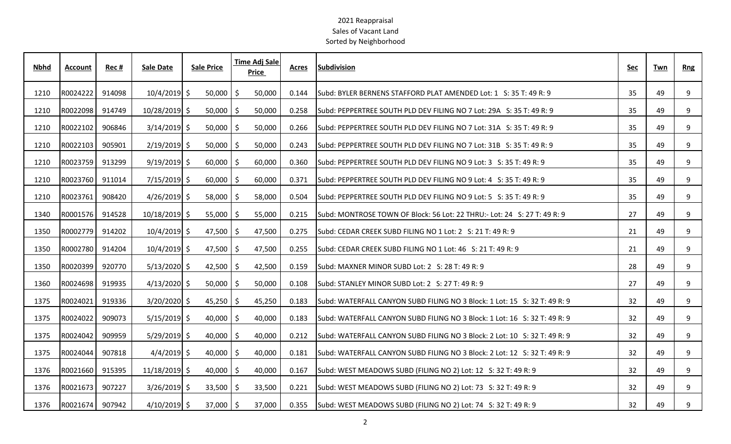| <b>Nbhd</b> | <b>Account</b> | Rec#   | <b>Sale Date</b> | <b>Sale Price</b>    | <b>Time Adj Sale</b><br>Price | Acres | <b>Subdivision</b>                                                        | Sec | Twn | Rng |
|-------------|----------------|--------|------------------|----------------------|-------------------------------|-------|---------------------------------------------------------------------------|-----|-----|-----|
| 1210        | R0024222       | 914098 | $10/4/2019$ \$   | $50,000$   \$        | 50,000                        | 0.144 | Subd: BYLER BERNENS STAFFORD PLAT AMENDED Lot: 1 S: 35 T: 49 R: 9         | 35  | 49  | 9   |
| 1210        | R0022098       | 914749 | 10/28/2019 \$    | $50,000$   \$        | 50,000                        | 0.258 | Subd: PEPPERTREE SOUTH PLD DEV FILING NO 7 Lot: 29A S: 35 T: 49 R: 9      | 35  | 49  | 9   |
| 1210        | R0022102       | 906846 | $3/14/2019$ \$   | $50,000$   \$        | 50,000                        | 0.266 | Subd: PEPPERTREE SOUTH PLD DEV FILING NO 7 Lot: 31A S: 35 T: 49 R: 9      | 35  | 49  | 9   |
| 1210        | R0022103       | 905901 | $2/19/2019$ \$   | $50,000$   \$        | 50,000                        | 0.243 | Subd: PEPPERTREE SOUTH PLD DEV FILING NO 7 Lot: 31B S: 35 T: 49 R: 9      | 35  | 49  | 9   |
| 1210        | R0023759       | 913299 | $9/19/2019$ \$   | $60,000$   \$        | 60,000                        | 0.360 | Subd: PEPPERTREE SOUTH PLD DEV FILING NO 9 Lot: 3 S: 35 T: 49 R: 9        | 35  | 49  | 9   |
| 1210        | R0023760       | 911014 | $7/15/2019$ \$   | $60,000$   \$        | 60,000                        | 0.371 | Subd: PEPPERTREE SOUTH PLD DEV FILING NO 9 Lot: 4 S: 35 T: 49 R: 9        | 35  | 49  | 9   |
| 1210        | R0023761       | 908420 | $4/26/2019$ \$   | $58,000$   \$        | 58,000                        | 0.504 | Subd: PEPPERTREE SOUTH PLD DEV FILING NO 9 Lot: 5 S: 35 T: 49 R: 9        | 35  | 49  | 9   |
| 1340        | R0001576       | 914528 | $10/18/2019$ \$  | $55,000$   \$        | 55,000                        | 0.215 | Subd: MONTROSE TOWN OF Block: 56 Lot: 22 THRU:- Lot: 24 S: 27 T: 49 R: 9  | 27  | 49  | 9   |
| 1350        | R0002779       | 914202 | $10/4/2019$ \$   | $47,500$   \$        | 47,500                        | 0.275 | Subd: CEDAR CREEK SUBD FILING NO 1 Lot: 2 S: 21 T: 49 R: 9                | 21  | 49  | 9   |
| 1350        | R0002780       | 914204 | $10/4/2019$ \$   | 47,500 $\frac{1}{2}$ | 47,500                        | 0.255 | Subd: CEDAR CREEK SUBD FILING NO 1 Lot: 46 S: 21 T: 49 R: 9               | 21  | 49  | 9   |
| 1350        | R0020399       | 920770 | $5/13/2020$ \$   | 42,500               | 42,500<br>-Ŝ                  | 0.159 | Subd: MAXNER MINOR SUBD Lot: 2 S: 28 T: 49 R: 9                           | 28  | 49  | 9   |
| 1360        | R0024698       | 919935 | $4/13/2020$ \$   | $50,000$   \$        | 50,000                        | 0.108 | Subd: STANLEY MINOR SUBD Lot: 2 S: 27 T: 49 R: 9                          | 27  | 49  | 9   |
| 1375        | R0024021       | 919336 | $3/20/2020$ \$   | $45,250$   \$        | 45,250                        | 0.183 | Subd: WATERFALL CANYON SUBD FILING NO 3 Block: 1 Lot: 15 S: 32 T: 49 R: 9 | 32  | 49  | 9   |
| 1375        | R0024022       | 909073 | $5/15/2019$ \$   | $40,000$   \$        | 40,000                        | 0.183 | Subd: WATERFALL CANYON SUBD FILING NO 3 Block: 1 Lot: 16 S: 32 T: 49 R: 9 | 32  | 49  | 9   |
| 1375        | R0024042       | 909959 | $5/29/2019$ \$   | $40,000$   \$        | 40,000                        | 0.212 | Subd: WATERFALL CANYON SUBD FILING NO 3 Block: 2 Lot: 10 S: 32 T: 49 R: 9 | 32  | 49  | 9   |
| 1375        | R0024044       | 907818 | $4/4/2019$ \$    | $40,000$   \$        | 40,000                        | 0.181 | Subd: WATERFALL CANYON SUBD FILING NO 3 Block: 2 Lot: 12 S: 32 T: 49 R: 9 | 32  | 49  | 9   |
| 1376        | R0021660       | 915395 | $11/18/2019$ \$  | $40,000$   \$        | 40,000                        | 0.167 | Subd: WEST MEADOWS SUBD (FILING NO 2) Lot: 12 S: 32 T: 49 R: 9            | 32  | 49  | 9   |
| 1376        | R0021673       | 907227 | $3/26/2019$ \$   | $33,500$   \$        | 33,500                        | 0.221 | Subd: WEST MEADOWS SUBD (FILING NO 2) Lot: 73 S: 32 T: 49 R: 9            | 32  | 49  | 9   |
| 1376        | R0021674       | 907942 | $4/10/2019$ \$   | $37,000$   \$        | 37,000                        | 0.355 | Subd: WEST MEADOWS SUBD (FILING NO 2) Lot: 74 S: 32 T: 49 R: 9            | 32  | 49  | 9   |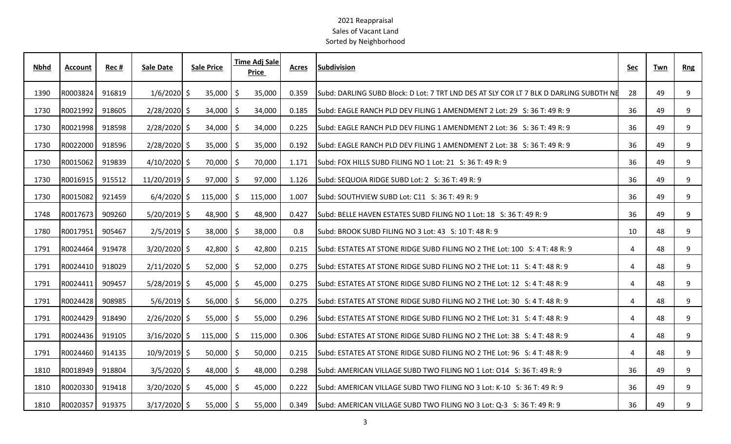| <u>Nbhd</u> | <b>Account</b> | <u>Rec #</u>    | Sale Date              | <b>Sale Price</b> |        |              | <b>Time Adj Sale</b><br><b>Price</b> | <b>Acres</b> | <b>Subdivision</b>                                                                            | <b>Sec</b>     | <u>Twn</u> | <b>Rng</b> |  |
|-------------|----------------|-----------------|------------------------|-------------------|--------|--------------|--------------------------------------|--------------|-----------------------------------------------------------------------------------------------|----------------|------------|------------|--|
| 1390        |                | R0003824 916819 | $1/6/2020$ \$          |                   | 35,000 |              | 35,000                               | 0.359        | Subd: DARLING SUBD Block: D Lot: 7 TRT LND DES AT SLY COR LT 7 BLK D DARLING SUBDTH NE        | 28             | 49         | - 9        |  |
| 1730        |                | R0021992 918605 | $2/28/2020$ \$         |                   | 34,000 |              | 34,000                               | 0.185        | lSubd: EAGLE RANCH PLD DEV FILING 1 AMENDMENT 2 Lot: 29   S: 36 T: 49 R: 9                    | 36             | 49         | -9         |  |
| 1730        | R0021998       | 918598          | $2/28/2020$ \$         |                   | 34,000 |              | 34,000                               | 0.225        | Subd: EAGLE RANCH PLD DEV FILING 1 AMENDMENT 2 Lot: 36 S: 36 T: 49 R: 9                       | 36             | 49         | -9         |  |
| 1730        |                | R0022000 918596 | $2/28/2020$ \$         |                   | 35,000 |              | 35,000                               | 0.192        | ISubd: EAGLE RANCH PLD DEV FILING 1 AMENDMENT 2 Lot: 38                      S: 36 T: 49 R: 9 | 36             | 49         | -9         |  |
| 1730        |                | R0015062 919839 | $4/10/2020$ \$         |                   | 70,000 |              | 70,000                               | 1.171        | Subd: FOX HILLS SUBD FILING NO 1 Lot: 21 S: 36 T: 49 R: 9                                     | 36             | 49         | -9         |  |
| 1730        |                | R0016915 915512 | 11/20/2019 \$          |                   | 97,000 |              | 97,000                               | 1.126        | Subd: SEQUOIA RIDGE SUBD Lot: 2 S: 36 T: 49 R: 9                                              | 36             | 49         | - 9        |  |
| 1730        |                | R0015082 921459 | $6/4/2020$ \$ 115,000  |                   |        | S.           | 115,000                              | 1.007        | Subd: SOUTHVIEW SUBD Lot: C11 S: 36 T: 49 R: 9                                                | 36             | 49         | -9         |  |
| 1748        | R0017673       | 909260          | $5/20/2019$ \$         |                   | 48,900 |              | 48,900                               | 0.427        | Subd: BELLE HAVEN ESTATES SUBD FILING NO 1 Lot: 18 S: 36 T: 49 R: 9                           | 36             | 49         | -9         |  |
| 1780        |                | R0017951 905467 | $2/5/2019$ \$          |                   | 38,000 |              | 38,000                               | 0.8          | Subd: BROOK SUBD FILING NO 3 Lot: 43 S: 10 T: 48 R: 9                                         | 10             | 48         | -9         |  |
| 1791        |                | R0024464 919478 | $3/20/2020$ \$         |                   | 42,800 |              | 42,800                               | 0.215        | Subd: ESTATES AT STONE RIDGE SUBD FILING NO 2 THE Lot: 100 S: 4 T: 48 R: 9                    | -4             | 48         | -9         |  |
| 1791        |                | R0024410 918029 | $2/11/2020$ \$         |                   | 52,000 |              | 52,000                               | 0.275        | Subd: ESTATES AT STONE RIDGE SUBD FILING NO 2 THE Lot: 11 S: 4 T: 48 R: 9                     | $\overline{a}$ | 48         | -9         |  |
| 1791        |                | R0024411 909457 | $5/28/2019$ \$         |                   | 45,000 |              | 45,000                               | 0.275        | Subd: ESTATES AT STONE RIDGE SUBD FILING NO 2 THE Lot: 12 S: 4 T: 48 R: 9                     | -4             | 48         |            |  |
| 1791        | R0024428       | 908985          | $5/6/2019$ \$          |                   | 56,000 |              | 56,000                               | 0.275        | Subd: ESTATES AT STONE RIDGE SUBD FILING NO 2 THE Lot: 30 S: 4 T: 48 R: 9                     | -4             | 48         | -9         |  |
| 1791        |                | R0024429 918490 | $2/26/2020$ \$         |                   | 55,000 |              | 55,000                               | 0.296        | Subd: ESTATES AT STONE RIDGE SUBD FILING NO 2 THE Lot: 31 S: 4 T: 48 R: 9                     | $\overline{a}$ | 48         | -9         |  |
| 1791        |                | R0024436 919105 | $3/16/2020$ \$ 115,000 |                   |        | $\mathsf{S}$ | 115,000                              | 0.306        | Subd: ESTATES AT STONE RIDGE SUBD FILING NO 2 THE Lot: 38 S: 4 T: 48 R: 9                     |                | 48         | -9         |  |
| 1791        |                | R0024460 914135 | $10/9/2019$ \$         |                   | 50,000 |              | 50,000                               | 0.215        | Subd: ESTATES AT STONE RIDGE SUBD FILING NO 2 THE Lot: 96 S: 4 T: 48 R: 9                     | $\overline{a}$ | 48         | - 9        |  |
| 1810        |                | R0018949 918804 | $3/5/2020$ \$          |                   | 48,000 |              | 48,000                               | 0.298        | Subd: AMERICAN VILLAGE SUBD TWO FILING NO 1 Lot: 014 S: 36 T: 49 R: 9                         | 36             | 49         | -9         |  |
| 1810        |                | R0020330 919418 | $3/20/2020$ \$         |                   | 45,000 |              | 45,000                               | 0.222        | Subd: AMERICAN VILLAGE SUBD TWO FILING NO 3 Lot: K-10 S: 36 T: 49 R: 9                        | 36             | 49         |            |  |
| 1810        |                | R0020357 919375 | $3/17/2020$ \$         |                   | 55,000 | I SI         | 55,000                               |              | 0.349 Subd: AMERICAN VILLAGE SUBD TWO FILING NO 3 Lot: Q-3 S: 36 T: 49 R: 9                   | 36             | 49         |            |  |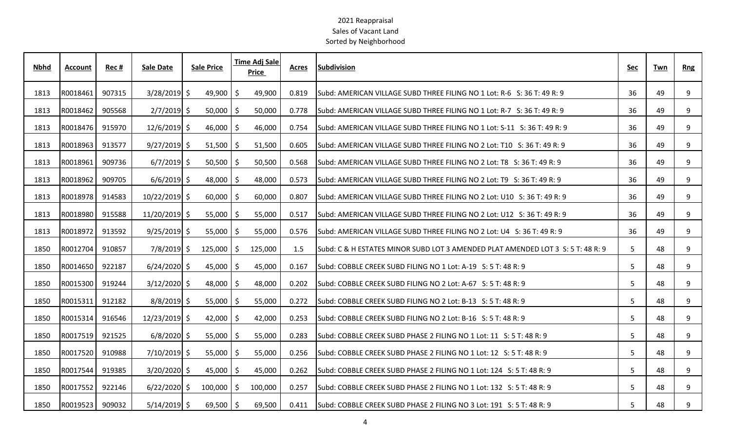| <b>Nbhd</b> | <b>Account</b> | Rec#   | Sale Date      | <b>Sale Price</b> |                |    | <b>Time Adj Sale</b><br><b>Price</b> | <b>Acres</b> | <b>Subdivision</b>                                                                | Sec | Twn | <b>Rng</b> |
|-------------|----------------|--------|----------------|-------------------|----------------|----|--------------------------------------|--------------|-----------------------------------------------------------------------------------|-----|-----|------------|
| 1813        | R0018461       | 907315 | $3/28/2019$ \$ |                   | 49,900         | -Ŝ | 49,900                               | 0.819        | Subd: AMERICAN VILLAGE SUBD THREE FILING NO 1 Lot: R-6 S: 36 T: 49 R: 9           | 36  | 49  | 9          |
| 1813        | R0018462       | 905568 | $2/7/2019$ \$  |                   | $50,000$   \$  |    | 50,000                               | 0.778        | Subd: AMERICAN VILLAGE SUBD THREE FILING NO 1 Lot: R-7 S: 36 T: 49 R: 9           | 36  | 49  | 9          |
| 1813        | R0018476       | 915970 | $12/6/2019$ \$ |                   | $46,000$   \$  |    | 46,000                               | 0.754        | Subd: AMERICAN VILLAGE SUBD THREE FILING NO 1 Lot: S-11 S: 36 T: 49 R: 9          | 36  | 49  | 9          |
| 1813        | R0018963       | 913577 | $9/27/2019$ \$ |                   | $51,500$   \$  |    | 51,500                               | 0.605        | Subd: AMERICAN VILLAGE SUBD THREE FILING NO 2 Lot: T10 S: 36 T: 49 R: 9           | 36  | 49  | 9          |
| 1813        | R0018961       | 909736 | $6/7/2019$ \$  |                   | $50,500$   \$  |    | 50,500                               | 0.568        | lSubd: AMERICAN VILLAGE SUBD THREE FILING NO 2 Lot: T8 S: 36 T: 49 R: 9           | 36  | 49  | 9          |
| 1813        | R0018962       | 909705 | $6/6/2019$ \$  |                   | 48,000         | -S | 48,000                               | 0.573        | Subd: AMERICAN VILLAGE SUBD THREE FILING NO 2 Lot: T9 S: 36 T: 49 R: 9            | 36  | 49  | 9          |
| 1813        | R0018978       | 914583 | 10/22/2019 \$  |                   | $60,000$   \$  |    | 60,000                               | 0.807        | Subd: AMERICAN VILLAGE SUBD THREE FILING NO 2 Lot: U10 S: 36 T: 49 R: 9           | 36  | 49  | 9          |
| 1813        | R0018980       | 915588 | 11/20/2019 \$  |                   | $55,000$   \$  |    | 55,000                               | 0.517        | Subd: AMERICAN VILLAGE SUBD THREE FILING NO 2 Lot: U12 S: 36 T: 49 R: 9           | 36  | 49  | 9          |
| 1813        | R0018972       | 913592 | $9/25/2019$ \$ |                   | $55,000$   \$  |    | 55,000                               | 0.576        | Subd: AMERICAN VILLAGE SUBD THREE FILING NO 2 Lot: U4 S: 36 T: 49 R: 9            | 36  | 49  | 9          |
| 1850        | R0012704       | 910857 | $7/8/2019$ \$  |                   | $125,000$   \$ |    | 125,000                              | 1.5          | lSubd: C & H ESTATES MINOR SUBD LOT 3 AMENDED PLAT AMENDED LOT 3  S: 5 T: 48 R: 9 | 5   | 48  | 9          |
| 1850        | R0014650       | 922187 | $6/24/2020$ \$ |                   | 45,000         | S  | 45,000                               | 0.167        | Subd: COBBLE CREEK SUBD FILING NO 1 Lot: A-19 S: 5 T: 48 R: 9                     | 5   | 48  | 9          |
| 1850        | R0015300       | 919244 | $3/12/2020$ \$ |                   | $48,000$   \$  |    | 48,000                               | 0.202        | Subd: COBBLE CREEK SUBD FILING NO 2 Lot: A-67 S: 5 T: 48 R: 9                     | 5   | 48  | 9          |
| 1850        | R0015311       | 912182 | $8/8/2019$ \$  |                   | $55,000$   \$  |    | 55,000                               | 0.272        | Subd: COBBLE CREEK SUBD FILING NO 2 Lot: B-13 S: 5 T: 48 R: 9                     | 5   | 48  | 9          |
| 1850        | R0015314       | 916546 | 12/23/2019 \$  |                   | $42,000$   \$  |    | 42,000                               | 0.253        | Subd: COBBLE CREEK SUBD FILING NO 2 Lot: B-16 S: 5 T: 48 R: 9                     | 5   | 48  | 9          |
| 1850        | R0017519       | 921525 | $6/8/2020$ \$  |                   | $55,000$   \$  |    | 55,000                               | 0.283        | Subd: COBBLE CREEK SUBD PHASE 2 FILING NO 1 Lot: 11 S: 5 T: 48 R: 9               | 5   | 48  | 9          |
| 1850        | R0017520       | 910988 | $7/10/2019$ \$ |                   | 55,000         | -Ŝ | 55,000                               | 0.256        | Subd: COBBLE CREEK SUBD PHASE 2 FILING NO 1 Lot: 12 S: 5 T: 48 R: 9               | 5   | 48  | 9          |
| 1850        | R0017544       | 919385 | $3/20/2020$ \$ |                   | $45,000$   \$  |    | 45,000                               | 0.262        | Subd: COBBLE CREEK SUBD PHASE 2 FILING NO 1 Lot: 124 S: 5 T: 48 R: 9              | 5   | 48  | 9          |
| 1850        | R0017552       | 922146 | $6/22/2020$ \$ |                   | $100,000$ \$   |    | 100,000                              | 0.257        | Subd: COBBLE CREEK SUBD PHASE 2 FILING NO 1 Lot: 132 S: 5 T: 48 R: 9              | 5   | 48  | 9          |
| 1850        | R0019523       | 909032 | $5/14/2019$ \$ |                   | $69,500$   \$  |    | 69,500                               | 0.411        | Subd: COBBLE CREEK SUBD PHASE 2 FILING NO 3 Lot: 191 S: 5 T: 48 R: 9              | 5   | 48  | 9          |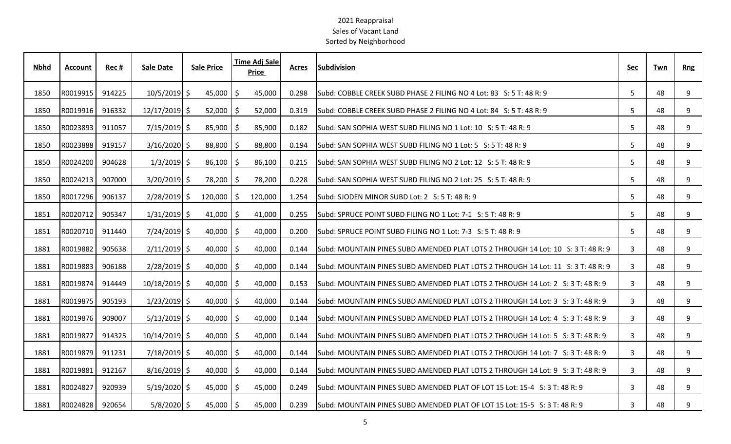| Nbhd | Account  | Rec#   | <b>Sale Date</b> | <b>Sale Price</b> | <b>Time Adj Sale</b><br>Price | Acres | <b>Subdivision</b>                                                               | Sec            | Twn | <b>Rng</b> |
|------|----------|--------|------------------|-------------------|-------------------------------|-------|----------------------------------------------------------------------------------|----------------|-----|------------|
| 1850 | R0019915 | 914225 | $10/5/2019$ \$   | 45,000            | 45,000<br>-\$                 | 0.298 | Subd: COBBLE CREEK SUBD PHASE 2 FILING NO 4 Lot: 83 S: 5 T: 48 R: 9              | 5              | 48  | 9          |
| 1850 | R0019916 | 916332 | $12/17/2019$ \$  | 52,000            | 52,000<br>S                   | 0.319 | Subd: COBBLE CREEK SUBD PHASE 2 FILING NO 4 Lot: 84 S: 5 T: 48 R: 9              | 5              | 48  | 9          |
| 1850 | R0023893 | 911057 | $7/15/2019$ \$   | 85,900            | 85,900<br>-Ŝ                  | 0.182 | Subd: SAN SOPHIA WEST SUBD FILING NO 1 Lot: 10 S: 5 T: 48 R: 9                   | 5              | 48  | 9          |
| 1850 | R0023888 | 919157 | $3/16/2020$ \$   | 88,800 \$         | 88,800                        | 0.194 | Subd: SAN SOPHIA WEST SUBD FILING NO 1 Lot: 5 S: 5 T: 48 R: 9                    | 5              | 48  | 9          |
| 1850 | R0024200 | 904628 | $1/3/2019$ \$    | 86,100            | 86,100<br>S                   | 0.215 | lSubd: SAN SOPHIA WEST SUBD FILING NO 2 Lot: 12 S: 5 T: 48 R: 9                  | 5              | 48  | 9          |
| 1850 | R0024213 | 907000 | $3/20/2019$ \$   | 78,200            | 78,200<br>-\$                 | 0.228 | Subd: SAN SOPHIA WEST SUBD FILING NO 2 Lot: 25 S: 5 T: 48 R: 9                   | 5              | 48  | 9          |
| 1850 | R0017296 | 906137 | $2/28/2019$ \$   | 120,000           | 120,000<br>S                  | 1.254 | Subd: SJODEN MINOR SUBD Lot: 2 S: 5 T: 48 R: 9                                   | 5              | 48  | 9          |
| 1851 | R0020712 | 905347 | $1/31/2019$ \$   | $41,000$   \$     | 41,000                        | 0.255 | Subd: SPRUCE POINT SUBD FILING NO 1 Lot: 7-1 S: 5 T: 48 R: 9                     | 5              | 48  | 9          |
| 1851 | R0020710 | 911440 | $7/24/2019$ \$   | $40,000$   \$     | 40,000                        | 0.200 | Subd: SPRUCE POINT SUBD FILING NO 1 Lot: 7-3 S: 5 T: 48 R: 9                     | 5              | 48  | 9          |
| 1881 | R0019882 | 905638 | $2/11/2019$ \$   | $40,000$   \$     | 40,000                        | 0.144 | Subd: MOUNTAIN PINES SUBD AMENDED PLAT LOTS 2 THROUGH 14 Lot: 10 S: 3 T: 48 R: 9 | 3              | 48  | 9          |
| 1881 | R0019883 | 906188 | $2/28/2019$ \$   | 40,000            | 40,000<br>S                   | 0.144 | Subd: MOUNTAIN PINES SUBD AMENDED PLAT LOTS 2 THROUGH 14 Lot: 11 S: 3 T: 48 R: 9 | 3              | 48  | 9          |
| 1881 | R0019874 | 914449 | 10/18/2019 \$    | 40,000            | 40,000<br>S                   | 0.153 | Subd: MOUNTAIN PINES SUBD AMENDED PLAT LOTS 2 THROUGH 14 Lot: 2 S: 3 T: 48 R: 9  | 3              | 48  | 9          |
| 1881 | R0019875 | 905193 | $1/23/2019$ \$   | $40,000$   \$     | 40,000                        | 0.144 | Subd: MOUNTAIN PINES SUBD AMENDED PLAT LOTS 2 THROUGH 14 Lot: 3 S: 3 T: 48 R: 9  | 3              | 48  | 9          |
| 1881 | R0019876 | 909007 | $5/13/2019$ \$   | $40,000$   \$     | 40,000                        | 0.144 | Subd: MOUNTAIN PINES SUBD AMENDED PLAT LOTS 2 THROUGH 14 Lot: 4 S: 3 T: 48 R: 9  | 3              | 48  | 9          |
| 1881 | R0019877 | 914325 | $10/14/2019$ \$  | $40,000$   \$     | 40,000                        | 0.144 | lSubd: MOUNTAIN PINES SUBD AMENDED PLAT LOTS 2 THROUGH 14 Lot: 5 S: 3 T: 48 R: 9 | 3              | 48  | 9          |
| 1881 | R0019879 | 911231 | $7/18/2019$ \$   | 40,000            | 40,000<br>S                   | 0.144 | Subd: MOUNTAIN PINES SUBD AMENDED PLAT LOTS 2 THROUGH 14 Lot: 7 S: 3 T: 48 R: 9  | $\overline{3}$ | 48  | 9          |
| 1881 | R0019881 | 912167 | $8/16/2019$ \$   | 40,000            | 40,000<br>-Ŝ                  | 0.144 | Subd: MOUNTAIN PINES SUBD AMENDED PLAT LOTS 2 THROUGH 14 Lot: 9 S: 3 T: 48 R: 9  | 3              | 48  | 9          |
| 1881 | R0024827 | 920939 | $5/19/2020$ \$   | $45,000$   \$     | 45,000                        | 0.249 | Subd: MOUNTAIN PINES SUBD AMENDED PLAT OF LOT 15 Lot: 15-4 S: 3 T: 48 R: 9       | 3              | 48  | 9          |
| 1881 | R0024828 | 920654 | $5/8/2020$ \$    | $45,000$   \$     | 45,000                        | 0.239 | Subd: MOUNTAIN PINES SUBD AMENDED PLAT OF LOT 15 Lot: 15-5 S: 3 T: 48 R: 9       | 3              | 48  | 9          |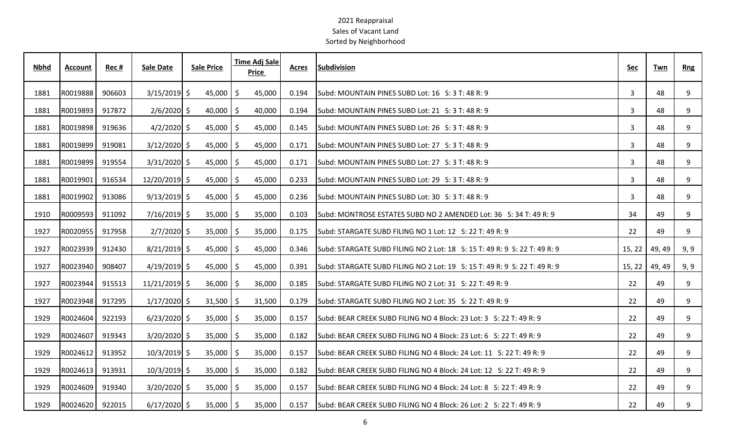| <b>Nbhd</b> | Account  | Rec #  | <b>Sale Date</b> | <b>Sale Price</b> |     | <b>Time Adj Sale</b><br>Price | <b>Acres</b> | <b>Subdivision</b>                                                        | <u>Sec</u> | Twn    | <b>Rng</b> |
|-------------|----------|--------|------------------|-------------------|-----|-------------------------------|--------------|---------------------------------------------------------------------------|------------|--------|------------|
| 1881        | R0019888 | 906603 | $3/15/2019$ \$   | 45,000            | \$  | 45,000                        | 0.194        | Subd: MOUNTAIN PINES SUBD Lot: 16 S: 3 T: 48 R: 9                         | 3          | 48     | 9          |
| 1881        | R0019893 | 917872 | $2/6/2020$ \$    | $40,000$   \$     |     | 40,000                        | 0.194        | Subd: MOUNTAIN PINES SUBD Lot: 21 S: 3 T: 48 R: 9                         | 3          | 48     | 9          |
| 1881        | R0019898 | 919636 | $4/2/2020$ \$    | $45,000$   \$     |     | 45,000                        | 0.145        | Subd: MOUNTAIN PINES SUBD Lot: 26 S: 3 T: 48 R: 9                         | 3          | 48     | 9          |
| 1881        | R0019899 | 919081 | $3/12/2020$ \$   | $45,000$   \$     |     | 45,000                        | 0.171        | Subd: MOUNTAIN PINES SUBD Lot: 27 S: 3 T: 48 R: 9                         | 3          | 48     | 9          |
| 1881        | R0019899 | 919554 | $3/31/2020$ \$   | 45,000            | -\$ | 45,000                        | 0.171        | Subd: MOUNTAIN PINES SUBD Lot: 27 S: 3 T: 48 R: 9                         | 3          | 48     | 9          |
| 1881        | R0019901 | 916534 | 12/20/2019 \$    | $45,000$   \$     |     | 45,000                        | 0.233        | Subd: MOUNTAIN PINES SUBD Lot: 29 S: 3 T: 48 R: 9                         | 3          | 48     | 9          |
| 1881        | R0019902 | 913086 | $9/13/2019$ \$   | $45,000$   \$     |     | 45,000                        | 0.236        | Subd: MOUNTAIN PINES SUBD Lot: 30 S: 3 T: 48 R: 9                         | 3          | 48     | 9          |
| 1910        | R0009593 | 911092 | $7/16/2019$ \$   | $35,000$   \$     |     | 35,000                        | 0.103        | Subd: MONTROSE ESTATES SUBD NO 2 AMENDED Lot: 36 S: 34 T: 49 R: 9         | 34         | 49     | 9          |
| 1927        | R0020955 | 917958 | $2/7/2020$ \$    | 35,000            | -Ŝ  | 35,000                        | 0.175        | Subd: STARGATE SUBD FILING NO 1 Lot: 12 S: 22 T: 49 R: 9                  | 22         | 49     | 9          |
| 1927        | R0023939 | 912430 | $8/21/2019$ \$   | 45,000            | \$  | 45,000                        | 0.346        | Subd: STARGATE SUBD FILING NO 2 Lot: 18 S: 15 T: 49 R: 9 S: 22 T: 49 R: 9 | 15, 22     | 49, 49 | 9, 9       |
| 1927        | R0023940 | 908407 | $4/19/2019$ \$   | 45,000            | -\$ | 45,000                        | 0.391        | Subd: STARGATE SUBD FILING NO 2 Lot: 19 S: 15 T: 49 R: 9 S: 22 T: 49 R: 9 | 15, 22     | 49, 49 | 9, 9       |
| 1927        | R0023944 | 915513 | $11/21/2019$ \$  | $36,000$   \$     |     | 36,000                        | 0.185        | Subd: STARGATE SUBD FILING NO 2 Lot: 31 S: 22 T: 49 R: 9                  | 22         | 49     | 9          |
| 1927        | R0023948 | 917295 | $1/17/2020$ \$   | $31,500$   \$     |     | 31,500                        | 0.179        | Subd: STARGATE SUBD FILING NO 2 Lot: 35 S: 22 T: 49 R: 9                  | 22         | 49     | 9          |
| 1929        | R0024604 | 922193 | $6/23/2020$ \$   | $35,000$   \$     |     | 35,000                        | 0.157        | lSubd: BEAR CREEK SUBD FILING NO 4 Block: 23 Lot: 3 S: 22 T: 49 R: 9      | 22         | 49     | 9          |
| 1929        | R0024607 | 919343 | $3/20/2020$ \$   | 35,000            | S   | 35,000                        | 0.182        | Subd: BEAR CREEK SUBD FILING NO 4 Block: 23 Lot: 6 S: 22 T: 49 R: 9       | 22         | 49     | 9          |
| 1929        | R0024612 | 913952 | $10/3/2019$ \$   | 35,000            | \$  | 35,000                        | 0.157        | Subd: BEAR CREEK SUBD FILING NO 4 Block: 24 Lot: 11 S: 22 T: 49 R: 9      | 22         | 49     | 9          |
| 1929        | R0024613 | 913931 | $10/3/2019$ \$   | $35,000$   \$     |     | 35,000                        | 0.182        | Subd: BEAR CREEK SUBD FILING NO 4 Block: 24 Lot: 12 S: 22 T: 49 R: 9      | 22         | 49     | 9          |
| 1929        | R0024609 | 919340 | $3/20/2020$ \$   | $35,000$   \$     |     | 35,000                        | 0.157        | Subd: BEAR CREEK SUBD FILING NO 4 Block: 24 Lot: 8 S: 22 T: 49 R: 9       | 22         | 49     | 9          |
| 1929        | R0024620 | 922015 | $6/17/2020$ \$   | $35,000$   \$     |     | 35,000                        | 0.157        | Subd: BEAR CREEK SUBD FILING NO 4 Block: 26 Lot: 2 S: 22 T: 49 R: 9       | 22         | 49     | 9          |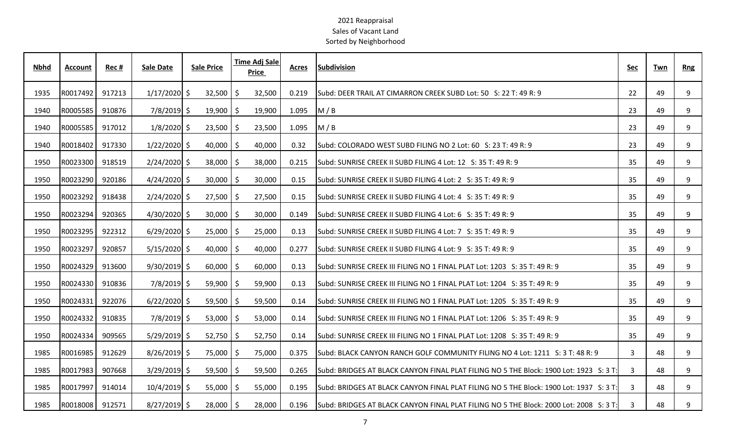| <b>Nbhd</b> | <b>Account</b> | Rec#   | <b>Sale Date</b> | <b>Sale Price</b> |     | <b>Time Adj Sale</b><br><b>Price</b> | <b>Acres</b> | <b>Subdivision</b>                                                                             | <b>Sec</b>   | Twn | <b>Rng</b> |
|-------------|----------------|--------|------------------|-------------------|-----|--------------------------------------|--------------|------------------------------------------------------------------------------------------------|--------------|-----|------------|
| 1935        | R0017492       | 917213 | $1/17/2020$ \$   | 32,500            | -Ŝ  | 32,500                               | 0.219        | Subd: DEER TRAIL AT CIMARRON CREEK SUBD Lot: 50 S: 22 T: 49 R: 9                               | 22           | 49  | 9          |
| 1940        | R0005585       | 910876 | $7/8/2019$ \$    | 19,900            | S   | 19,900                               | 1.095        | M/B                                                                                            | 23           | 49  | 9          |
| 1940        | R0005585       | 917012 | $1/8/2020$ \$    | $23,500$   \$     |     | 23,500                               | 1.095        | M/B                                                                                            | 23           | 49  | 9          |
| 1940        | R0018402       | 917330 | $1/22/2020$ \$   | $40,000$   \$     |     | 40,000                               | 0.32         | Subd: COLORADO WEST SUBD FILING NO 2 Lot: 60 S: 23 T: 49 R: 9                                  | 23           | 49  | 9          |
| 1950        | R0023300       | 918519 | $2/24/2020$ \$   | $38,000$   \$     |     | 38,000                               | 0.215        | lSubd: SUNRISE CREEK II SUBD FILING 4 Lot: 12                                 S: 35 T: 49 R: 9 | 35           | 49  | 9          |
| 1950        | R0023290       | 920186 | $4/24/2020$ \$   | 30,000            | S   | 30,000                               | 0.15         | Subd: SUNRISE CREEK II SUBD FILING 4 Lot: 2 S: 35 T: 49 R: 9                                   | 35           | 49  | 9          |
| 1950        | R0023292       | 918438 | $2/24/2020$ \$   | $27,500$   \$     |     | 27,500                               | 0.15         | Subd: SUNRISE CREEK II SUBD FILING 4 Lot: 4 S: 35 T: 49 R: 9                                   | 35           | 49  | 9          |
| 1950        | R0023294       | 920365 | $4/30/2020$ \$   | $30,000$   \$     |     | 30,000                               | 0.149        | Subd: SUNRISE CREEK II SUBD FILING 4 Lot: 6 S: 35 T: 49 R: 9                                   | 35           | 49  | 9          |
| 1950        | R0023295       | 922312 | $6/29/2020$ \$   | $25,000$   \$     |     | 25,000                               | 0.13         | Subd: SUNRISE CREEK II SUBD FILING 4 Lot: 7 S: 35 T: 49 R: 9                                   | 35           | 49  | 9          |
| 1950        | R0023297       | 920857 | $5/15/2020$ \$   | $40,000$   \$     |     | 40,000                               | 0.277        | Subd: SUNRISE CREEK II SUBD FILING 4 Lot: 9 S: 35 T: 49 R: 9                                   | 35           | 49  | 9          |
| 1950        | R0024329       | 913600 | $9/30/2019$ \$   | 60,000            | -S  | 60,000                               | 0.13         | Subd: SUNRISE CREEK III FILING NO 1 FINAL PLAT Lot: 1203 S: 35 T: 49 R: 9                      | 35           | 49  | 9          |
| 1950        | R0024330       | 910836 | 7/8/2019 \$      | 59,900            | -\$ | 59,900                               | 0.13         | Subd: SUNRISE CREEK III FILING NO 1 FINAL PLAT Lot: 1204 S: 35 T: 49 R: 9                      | 35           | 49  | 9          |
| 1950        | R0024331       | 922076 | $6/22/2020$ \$   | 59,500            | -Ŝ  | 59,500                               | 0.14         | Subd: SUNRISE CREEK III FILING NO 1 FINAL PLAT Lot: 1205 S: 35 T: 49 R: 9                      | 35           | 49  | 9          |
| 1950        | R0024332       | 910835 | $7/8/2019$ \$    | $53,000$   \$     |     | 53,000                               | 0.14         | Subd: SUNRISE CREEK III FILING NO 1 FINAL PLAT Lot: 1206 S: 35 T: 49 R: 9                      | 35           | 49  | 9          |
| 1950        | R0024334       | 909565 | $5/29/2019$ \$   | $52,750$   \$     |     | 52,750                               | 0.14         | lSubd: SUNRISE CREEK III FILING NO 1 FINAL PLAT Lot: 1208   S: 35 T: 49 R: 9                   | 35           | 49  | 9          |
| 1985        | R0016985       | 912629 | $8/26/2019$ \$   | 75,000            | Ŝ   | 75,000                               | 0.375        | Subd: BLACK CANYON RANCH GOLF COMMUNITY FILING NO 4 Lot: 1211 S: 3 T: 48 R: 9                  | $\mathbf{3}$ | 48  | 9          |
| 1985        | R0017983       | 907668 | $3/29/2019$ \$   | 59,500            | S   | 59,500                               | 0.265        | Subd: BRIDGES AT BLACK CANYON FINAL PLAT FILING NO 5 THE Block: 1900 Lot: 1923 S: 3 T:         | 3            | 48  | 9          |
| 1985        | R0017997       | 914014 | $10/4/2019$ \$   | 55,000            | \$  | 55,000                               | 0.195        | Subd: BRIDGES AT BLACK CANYON FINAL PLAT FILING NO 5 THE Block: 1900 Lot: 1937 S: 3 T:         | 3            | 48  | 9          |
| 1985        | R0018008       | 912571 | $8/27/2019$ \$   | $28,000$   \$     |     | 28,000                               | 0.196        | Subd: BRIDGES AT BLACK CANYON FINAL PLAT FILING NO 5 THE Block: 2000 Lot: 2008 S: 3 T:         | 3            | 48  | 9          |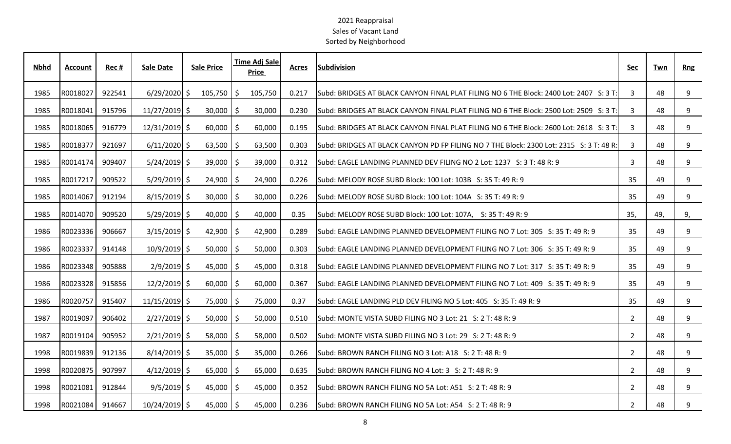| <b>Nbhd</b> | <b>Account</b> | Rec#   | <b>Sale Date</b> | <b>Sale Price</b> | <b>Time Adj Sale</b><br>Price | Acres | <b>Subdivision</b>                                                                      | Sec            | Twn | <b>Rng</b> |
|-------------|----------------|--------|------------------|-------------------|-------------------------------|-------|-----------------------------------------------------------------------------------------|----------------|-----|------------|
| 1985        | R0018027       | 922541 | $6/29/2020$ \$   | 105,750           | \$<br>105,750                 | 0.217 | Subd: BRIDGES AT BLACK CANYON FINAL PLAT FILING NO 6 THE Block: 2400 Lot: 2407 S: 3 T:  | 3              | 48  | 9          |
| 1985        | R0018041       | 915796 | $11/27/2019$ \$  | $30,000$   \$     | 30,000                        | 0.230 | Subd: BRIDGES AT BLACK CANYON FINAL PLAT FILING NO 6 THE Block: 2500 Lot: 2509 S: 3 T:  | 3              | 48  | 9          |
| 1985        | R0018065       | 916779 | $12/31/2019$ \$  | $60,000$   \$     | 60,000                        | 0.195 | Subd: BRIDGES AT BLACK CANYON FINAL PLAT FILING NO 6 THE Block: 2600 Lot: 2618 S: 3 T:  | 3              | 48  | 9          |
| 1985        | R0018377       | 921697 | $6/11/2020$ \$   | $63,500$   \$     | 63,500                        | 0.303 | Subd: BRIDGES AT BLACK CANYON PD FP FILING NO 7 THE Block: 2300 Lot: 2315 S: 3 T: 48 R: | 3              | 48  | 9          |
| 1985        | R0014174       | 909407 | $5/24/2019$ \$   | $39,000$   \$     | 39,000                        | 0.312 | Subd: EAGLE LANDING PLANNED DEV FILING NO 2 Lot: 1237 S: 3 T: 48 R: 9                   | 3              | 48  | 9          |
| 1985        | R0017217       | 909522 | $5/29/2019$ \$   | $24,900$   \$     | 24,900                        | 0.226 | Subd: MELODY ROSE SUBD Block: 100 Lot: 103B S: 35 T: 49 R: 9                            | 35             | 49  | 9          |
| 1985        | R0014067       | 912194 | $8/15/2019$ \$   | $30,000$   \$     | 30,000                        | 0.226 | Subd: MELODY ROSE SUBD Block: 100 Lot: 104A S: 35 T: 49 R: 9                            | 35             | 49  | 9          |
| 1985        | R0014070       | 909520 | $5/29/2019$ \$   | $40,000$   \$     | 40,000                        | 0.35  | Subd: MELODY ROSE SUBD Block: 100 Lot: 107A, S: 35 T: 49 R: 9                           | 35,            | 49, | 9,         |
| 1986        | R0023336       | 906667 | $3/15/2019$ \$   | $42,900$   \$     | 42,900                        | 0.289 | Subd: EAGLE LANDING PLANNED DEVELOPMENT FILING NO 7 Lot: 305 S: 35 T: 49 R: 9           | 35             | 49  | 9          |
| 1986        | R0023337       | 914148 | $10/9/2019$ \$   | $50,000$   \$     | 50,000                        | 0.303 | lSubd: EAGLE LANDING PLANNED DEVELOPMENT FILING NO 7 Lot: 306   S: 35 T: 49 R: 9        | 35             | 49  | 9          |
| 1986        | R0023348       | 905888 | $2/9/2019$ \$    | $45,000$   \$     | 45,000                        | 0.318 | Subd: EAGLE LANDING PLANNED DEVELOPMENT FILING NO 7 Lot: 317 S: 35 T: 49 R: 9           | 35             | 49  | 9          |
| 1986        | R0023328       | 915856 | $12/2/2019$ \$   | $60,000$   \$     | 60,000                        | 0.367 | Subd: EAGLE LANDING PLANNED DEVELOPMENT FILING NO 7 Lot: 409 S: 35 T: 49 R: 9           | 35             | 49  | 9          |
| 1986        | R0020757       | 915407 | $11/15/2019$ \$  | 75,000   \$       | 75,000                        | 0.37  | Subd: EAGLE LANDING PLD DEV FILING NO 5 Lot: 405 S: 35 T: 49 R: 9                       | 35             | 49  | 9          |
| 1987        | R0019097       | 906402 | $2/27/2019$ \$   | $50,000$   \$     | 50,000                        | 0.510 | Subd: MONTE VISTA SUBD FILING NO 3 Lot: 21 S: 2 T: 48 R: 9                              | $\overline{2}$ | 48  | 9          |
| 1987        | R0019104       | 905952 | $2/21/2019$ \$   | $58,000$   \$     | 58,000                        | 0.502 | Subd: MONTE VISTA SUBD FILING NO 3 Lot: 29 S: 2 T: 48 R: 9                              | $\overline{2}$ | 48  | 9          |
| 1998        | R0019839       | 912136 | $8/14/2019$ \$   | $35,000$   \$     | 35,000                        | 0.266 | Subd: BROWN RANCH FILING NO 3 Lot: A18 S: 2 T: 48 R: 9                                  | $\overline{2}$ | 48  | 9          |
| 1998        | R0020875       | 907997 | $4/12/2019$ \$   | $65,000$   \$     | 65,000                        | 0.635 | Subd: BROWN RANCH FILING NO 4 Lot: 3 S: 2 T: 48 R: 9                                    | $\overline{2}$ | 48  | 9          |
| 1998        | R0021081       | 912844 | $9/5/2019$ \$    | $45,000$   \$     | 45,000                        | 0.352 | Subd: BROWN RANCH FILING NO 5A Lot: A51 S: 2 T: 48 R: 9                                 | $\overline{2}$ | 48  | 9          |
| 1998        | R0021084       | 914667 | $10/24/2019$ \$  | $45,000$   \$     | 45,000                        | 0.236 | Subd: BROWN RANCH FILING NO 5A Lot: A54 S: 2 T: 48 R: 9                                 | $\overline{2}$ | 48  | 9          |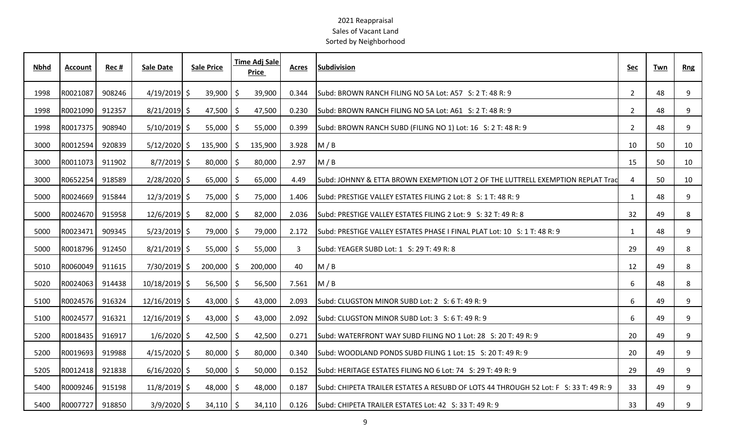| <b>Nbhd</b> | <b>Account</b> | Rec#   | <b>Sale Date</b> | <b>Sale Price</b> |                        | <b>Time Adj Sale</b><br>Price | <b>Acres</b> | Subdivision                                                                          | Sec            | Twn | <b>Rng</b> |
|-------------|----------------|--------|------------------|-------------------|------------------------|-------------------------------|--------------|--------------------------------------------------------------------------------------|----------------|-----|------------|
| 1998        | R0021087       | 908246 | $4/19/2019$ \$   |                   | $39,900$ \$            | 39,900                        | 0.344        | Subd: BROWN RANCH FILING NO 5A Lot: A57 S: 2 T: 48 R: 9                              | $2^{\circ}$    | 48  | 9          |
| 1998        | R0021090       | 912357 | $8/21/2019$ \$   |                   | $47,500$ \$            | 47,500                        | 0.230        | Subd: BROWN RANCH FILING NO 5A Lot: A61 S: 2 T: 48 R: 9                              | $\overline{2}$ | 48  | 9          |
| 1998        | R0017375       | 908940 | $5/10/2019$ \$   |                   | $55,000$   \$          | 55,000                        | 0.399        | Subd: BROWN RANCH SUBD (FILING NO 1) Lot: 16 S: 2 T: 48 R: 9                         | $\overline{2}$ | 48  | 9          |
| 3000        | R0012594       | 920839 | $5/12/2020$ \$   | $135,900$ \$      |                        | 135,900                       | 3.928        | M / B                                                                                | 10             | 50  | 10         |
| 3000        | R0011073       | 911902 | $8/7/2019$ \$    |                   | $80,000$ \$            | 80,000                        | 2.97         | M/B                                                                                  | 15             | 50  | 10         |
| 3000        | R0652254       | 918589 | $2/28/2020$ \$   |                   | $65,000$ $\frac{1}{5}$ | 65,000                        | 4.49         | Subd: JOHNNY & ETTA BROWN EXEMPTION LOT 2 OF THE LUTTRELL EXEMPTION REPLAT Trac      | $\overline{4}$ | 50  | 10         |
| 5000        | R0024669       | 915844 | $12/3/2019$ \$   |                   | 75,000 \$              | 75,000                        | 1.406        | Subd: PRESTIGE VALLEY ESTATES FILING 2 Lot: 8 S: 1 T: 48 R: 9                        | $\mathbf{1}$   | 48  | 9          |
| 5000        | R0024670       | 915958 | $12/6/2019$ \$   |                   | $82,000$   \$          | 82,000                        | 2.036        | Subd: PRESTIGE VALLEY ESTATES FILING 2 Lot: 9 S: 32 T: 49 R: 8                       | 32             | 49  | 8          |
| 5000        | R0023471       | 909345 | $5/23/2019$ \$   |                   | 79,000 \$              | 79,000                        | 2.172        | Subd: PRESTIGE VALLEY ESTATES PHASE I FINAL PLAT Lot: 10 S: 1 T: 48 R: 9             | $\mathbf{1}$   | 48  | 9          |
| 5000        | R0018796       | 912450 | $8/21/2019$ \$   |                   | $55,000$   \$          | 55,000                        | 3            | Subd: YEAGER SUBD Lot: 1 S: 29 T: 49 R: 8                                            | 29             | 49  | 8          |
| 5010        | R0060049       | 911615 | $7/30/2019$ \$   | 200,000           |                        | 200,000<br>Ŝ.                 | 40           | M / B                                                                                | 12             | 49  | 8          |
| 5020        | R0024063       | 914438 | 10/18/2019 \$    |                   | $56,500$   \$          | 56,500                        | 7.561        | M/B                                                                                  | 6              | 48  | 8          |
| 5100        | R0024576       | 916324 | $12/16/2019$ \$  |                   | 43,000 $\mid$ \$       | 43,000                        | 2.093        | Subd: CLUGSTON MINOR SUBD Lot: 2 S: 6 T: 49 R: 9                                     | 6              | 49  | 9          |
| 5100        | R0024577       | 916321 | $12/16/2019$ \$  |                   | 43,000 $\mid$ \$       | 43,000                        | 2.092        | Subd: CLUGSTON MINOR SUBD Lot: 3 S: 6 T: 49 R: 9                                     | 6              | 49  | 9          |
| 5200        | R0018435       | 916917 | $1/6/2020$ \$    |                   | 42,500 $\frac{1}{2}$   | 42,500                        | 0.271        | lSubd: WATERFRONT WAY SUBD FILING NO 1 Lot: 28 S: 20 T: 49 R: 9                      | 20             | 49  | 9          |
| 5200        | R0019693       | 919988 | $4/15/2020$ \$   |                   | 80,000                 | 80,000<br>S                   | 0.340        | Subd: WOODLAND PONDS SUBD FILING 1 Lot: 15 S: 20 T: 49 R: 9                          | 20             | 49  | 9          |
| 5205        | R0012418       | 921838 | $6/16/2020$ \$   |                   | $50,000$   \$          | 50,000                        | 0.152        | Subd: HERITAGE ESTATES FILING NO 6 Lot: 74 S: 29 T: 49 R: 9                          | 29             | 49  | 9          |
| 5400        | R0009246       | 915198 | $11/8/2019$ \$   |                   | $48,000$   \$          | 48,000                        | 0.187        | Subd: CHIPETA TRAILER ESTATES A RESUBD OF LOTS 44 THROUGH 52 Lot: F S: 33 T: 49 R: 9 | 33             | 49  | 9          |
| 5400        | R0007727       | 918850 | $3/9/2020$ \$    |                   | $34,110$   \$          | 34,110                        | 0.126        | Subd: CHIPETA TRAILER ESTATES Lot: 42 S: 33 T: 49 R: 9                               | 33             | 49  | 9          |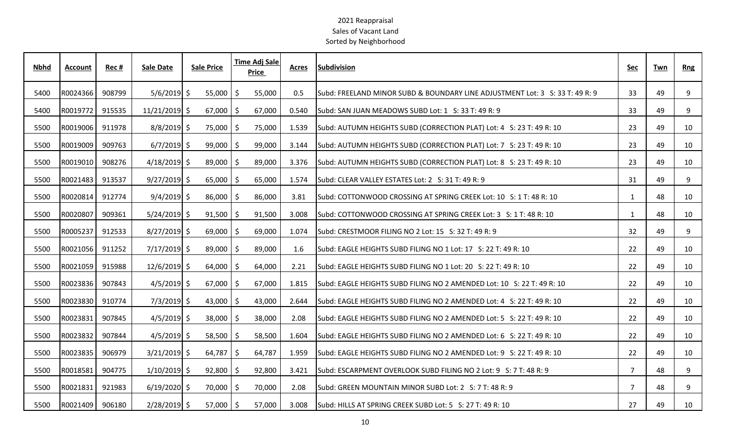| <b>Nbhd</b> | <b>Account</b> | Rec#   | <b>Sale Date</b> | <b>Sale Price</b> |     | <b>Time Adj Sale</b><br><b>Price</b> | <b>Acres</b> | <b>Subdivision</b>                                                           | Sec            | Twn | <b>Rng</b>      |
|-------------|----------------|--------|------------------|-------------------|-----|--------------------------------------|--------------|------------------------------------------------------------------------------|----------------|-----|-----------------|
| 5400        | R0024366       | 908799 | $5/6/2019$ \$    | 55,000            | Ŝ   | 55,000                               | 0.5          | Subd: FREELAND MINOR SUBD & BOUNDARY LINE ADJUSTMENT Lot: 3 S: 33 T: 49 R: 9 | 33             | 49  | 9               |
| 5400        | R0019772       | 915535 | $11/21/2019$ \$  | 67,000            | Ŝ   | 67,000                               | 0.540        | Subd: SAN JUAN MEADOWS SUBD Lot: 1 S: 33 T: 49 R: 9                          | 33             | 49  | 9               |
| 5500        | R0019006       | 911978 | $8/8/2019$ \$    | 75,000 \$         |     | 75,000                               | 1.539        | Subd: AUTUMN HEIGHTS SUBD (CORRECTION PLAT) Lot: 4 S: 23 T: 49 R: 10         | 23             | 49  | 10              |
| 5500        | R0019009       | 909763 | $6/7/2019$ \$    | $99,000$   \$     |     | 99,000                               | 3.144        | Subd: AUTUMN HEIGHTS SUBD (CORRECTION PLAT) Lot: 7 S: 23 T: 49 R: 10         | 23             | 49  | 10              |
| 5500        | R0019010       | 908276 | $4/18/2019$ \$   | $89,000$ \$       |     | 89,000                               | 3.376        | Subd: AUTUMN HEIGHTS SUBD (CORRECTION PLAT) Lot: 8 S: 23 T: 49 R: 10         | 23             | 49  | 10              |
| 5500        | R0021483       | 913537 | $9/27/2019$ \$   | 65,000            | Ŝ.  | 65,000                               | 1.574        | Subd: CLEAR VALLEY ESTATES Lot: 2 S: 31 T: 49 R: 9                           | 31             | 49  | 9               |
| 5500        | R0020814       | 912774 | $9/4/2019$ \$    | 86,000            | -S  | 86,000                               | 3.81         | Subd: COTTONWOOD CROSSING AT SPRING CREEK Lot: 10 S: 1 T: 48 R: 10           | 1              | 48  | 10              |
| 5500        | R0020807       | 909361 | $5/24/2019$ \$   | $91,500$   \$     |     | 91,500                               | 3.008        | Subd: COTTONWOOD CROSSING AT SPRING CREEK Lot: 3 S: 1 T: 48 R: 10            | 1              | 48  | 10              |
| 5500        | R0005237       | 912533 | $8/27/2019$ \$   | $69,000$ \$       |     | 69,000                               | 1.074        | Subd: CRESTMOOR FILING NO 2 Lot: 15 S: 32 T: 49 R: 9                         | 32             | 49  | 9               |
| 5500        | R0021056       | 911252 | $7/17/2019$ \$   | $89,000$   \$     |     | 89,000                               | 1.6          | Subd: EAGLE HEIGHTS SUBD FILING NO 1 Lot: 17 S: 22 T: 49 R: 10               | 22             | 49  | 10              |
| 5500        | R0021059       | 915988 | $12/6/2019$ \$   | 64,000            | -\$ | 64,000                               | 2.21         | Subd: EAGLE HEIGHTS SUBD FILING NO 1 Lot: 20 S: 22 T: 49 R: 10               | 22             | 49  | 10              |
| 5500        | R0023836       | 907843 | $4/5/2019$ \$    | $67,000$   \$     |     | 67,000                               | 1.815        | Subd: EAGLE HEIGHTS SUBD FILING NO 2 AMENDED Lot: 10 S: 22 T: 49 R: 10       | 22             | 49  | 10              |
| 5500        | R0023830       | 910774 | $7/3/2019$ \$    | 43,000 $\mid$ \$  |     | 43,000                               | 2.644        | Subd: EAGLE HEIGHTS SUBD FILING NO 2 AMENDED Lot: 4 S: 22 T: 49 R: 10        | 22             | 49  | 10              |
| 5500        | R0023831       | 907845 | $4/5/2019$ \$    | $38,000$   \$     |     | 38,000                               | 2.08         | Subd: EAGLE HEIGHTS SUBD FILING NO 2 AMENDED Lot: 5 S: 22 T: 49 R: 10        | 22             | 49  | 10              |
| 5500        | R0023832       | 907844 | $4/5/2019$ \$    | $58,500$   \$     |     | 58,500                               | 1.604        | Subd: EAGLE HEIGHTS SUBD FILING NO 2 AMENDED Lot: 6 S: 22 T: 49 R: 10        | 22             | 49  | 10              |
| 5500        | R0023835       | 906979 | $3/21/2019$ \$   | 64,787            | \$  | 64,787                               | 1.959        | Subd: EAGLE HEIGHTS SUBD FILING NO 2 AMENDED Lot: 9 S: 22 T: 49 R: 10        | 22             | 49  | 10              |
| 5500        | R0018581       | 904775 | $1/10/2019$ \$   | 92,800            | S   | 92,800                               | 3.421        | Subd: ESCARPMENT OVERLOOK SUBD FILING NO 2 Lot: 9 S: 7 T: 48 R: 9            | $\overline{7}$ | 48  | 9               |
| 5500        | R0021831       | 921983 | $6/19/2020$ \$   | 70,000 \$         |     | 70,000                               | 2.08         | Subd: GREEN MOUNTAIN MINOR SUBD Lot: 2 S: 7 T: 48 R: 9                       | $\overline{7}$ | 48  | 9               |
| 5500        | R0021409       | 906180 | $2/28/2019$ \$   | $57,000$   \$     |     | 57,000                               | 3.008        | Subd: HILLS AT SPRING CREEK SUBD Lot: 5 S: 27 T: 49 R: 10                    | 27             | 49  | 10 <sup>°</sup> |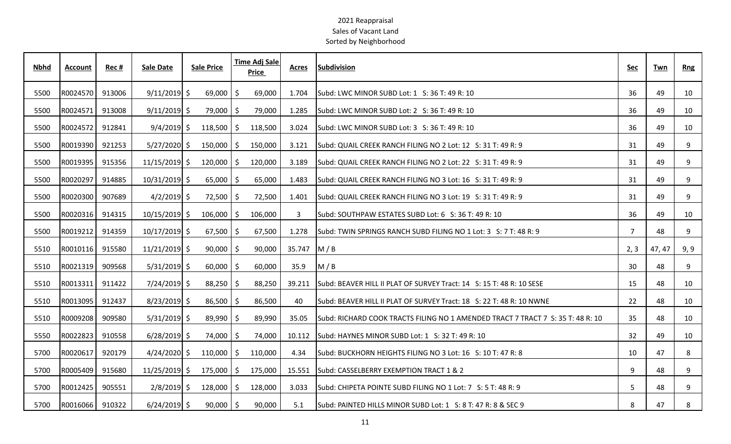| <b>Nbhd</b> | <b>Account</b> | Rec#   | <b>Sale Date</b> | <b>Sale Price</b> |     | Time Adj Sale<br><b>Price</b> | <b>Acres</b> | <b>Subdivision</b>                                                                | <u>Sec</u>     | Twn    | <b>Rng</b> |
|-------------|----------------|--------|------------------|-------------------|-----|-------------------------------|--------------|-----------------------------------------------------------------------------------|----------------|--------|------------|
| 5500        | R0024570       | 913006 | $9/11/2019$ \$   | 69,000            | \$  | 69,000                        | 1.704        | Subd: LWC MINOR SUBD Lot: 1 S: 36 T: 49 R: 10                                     | 36             | 49     | 10         |
| 5500        | R0024571       | 913008 | $9/11/2019$ \$   | 79,000 \$         |     | 79,000                        | 1.285        | Subd: LWC MINOR SUBD Lot: 2 S: 36 T: 49 R: 10                                     | 36             | 49     | 10         |
| 5500        | R0024572       | 912841 | $9/4/2019$ \$    | $118,500$ \$      |     | 118,500                       | 3.024        | Subd: LWC MINOR SUBD Lot: 3 S: 36 T: 49 R: 10                                     | 36             | 49     | 10         |
| 5500        | R0019390       | 921253 | $5/27/2020$ \$   | 150,000           | Ŝ.  | 150,000                       | 3.121        | Subd: QUAIL CREEK RANCH FILING NO 2 Lot: 12 S: 31 T: 49 R: 9                      | 31             | 49     | 9          |
| 5500        | R0019395       | 915356 | $11/15/2019$ \$  | 120,000           | Ŝ   | 120,000                       | 3.189        | Subd: QUAIL CREEK RANCH FILING NO 2 Lot: 22 S: 31 T: 49 R: 9                      | 31             | 49     | 9          |
| 5500        | R0020297       | 914885 | $10/31/2019$ \$  | $65,000$   \$     |     | 65,000                        | 1.483        | Subd: QUAIL CREEK RANCH FILING NO 3 Lot: 16 S: 31 T: 49 R: 9                      | 31             | 49     | 9          |
| 5500        | R0020300       | 907689 | $4/2/2019$ \$    | 72,500 \$         |     | 72,500                        | 1.401        | Subd: QUAIL CREEK RANCH FILING NO 3 Lot: 19 S: 31 T: 49 R: 9                      | 31             | 49     | 9          |
| 5500        | R0020316       | 914315 | $10/15/2019$ \$  | $106,000$   \$    |     | 106,000                       | 3            | Subd: SOUTHPAW ESTATES SUBD Lot: 6 S: 36 T: 49 R: 10                              | 36             | 49     | 10         |
| 5500        | R0019212       | 914359 | $10/17/2019$ \$  | $67,500$ \$       |     | 67,500                        | 1.278        | Subd: TWIN SPRINGS RANCH SUBD FILING NO 1 Lot: 3 S: 7 T: 48 R: 9                  | $\overline{7}$ | 48     | 9          |
| 5510        | R0010116       | 915580 | $11/21/2019$ \$  | $90,000$   \$     |     | 90,000                        | 35.747       | M/B                                                                               | 2, 3           | 47, 47 | 9, 9       |
| 5510        | R0021319       | 909568 | $5/31/2019$ \$   | 60,000            | \$  | 60,000                        | 35.9         | M / B                                                                             | 30             | 48     | 9          |
| 5510        | R0013311       | 911422 | $7/24/2019$ \$   | $88,250$   \$     |     | 88,250                        | 39.211       | Subd: BEAVER HILL II PLAT OF SURVEY Tract: 14 S: 15 T: 48 R: 10 SESE              | 15             | 48     | 10         |
| 5510        | R0013095       | 912437 | $8/23/2019$ \$   | 86,500            | \$  | 86,500                        | 40           | Subd: BEAVER HILL II PLAT OF SURVEY Tract: 18 S: 22 T: 48 R: 10 NWNE              | 22             | 48     | 10         |
| 5510        | R0009208       | 909580 | $5/31/2019$ \$   | $89,990$   \$     |     | 89,990                        | 35.05        | lSubd: RICHARD COOK TRACTS FILING NO 1 AMENDED TRACT 7 TRACT 7  S: 35 T: 48 R: 10 | 35             | 48     | 10         |
| 5550        | R0022823       | 910558 | $6/28/2019$ \$   | 74,000            | -\$ | 74,000                        | 10.112       | Subd: HAYNES MINOR SUBD Lot: 1 S: 32 T: 49 R: 10                                  | 32             | 49     | 10         |
| 5700        | R0020617       | 920179 | $4/24/2020$ \$   | 110,000           | -\$ | 110,000                       | 4.34         | Subd: BUCKHORN HEIGHTS FILING NO 3 Lot: 16 S: 10 T: 47 R: 8                       | 10             | 47     | 8          |
| 5700        | R0005409       | 915680 | $11/25/2019$ \$  | 175,000           | -S  | 175,000                       | 15.551       | Subd: CASSELBERRY EXEMPTION TRACT 1 & 2                                           | 9              | 48     | 9          |
| 5700        | R0012425       | 905551 | $2/8/2019$ \$    | $128,000$ \$      |     | 128,000                       | 3.033        | Subd: CHIPETA POINTE SUBD FILING NO 1 Lot: 7 S: 5 T: 48 R: 9                      | 5              | 48     | 9          |
| 5700        | R0016066       | 910322 | $6/24/2019$ \$   | $90,000$   \$     |     | 90,000                        | 5.1          | Subd: PAINTED HILLS MINOR SUBD Lot: 1 S: 8 T: 47 R: 8 & SEC 9                     | 8              | 47     | 8          |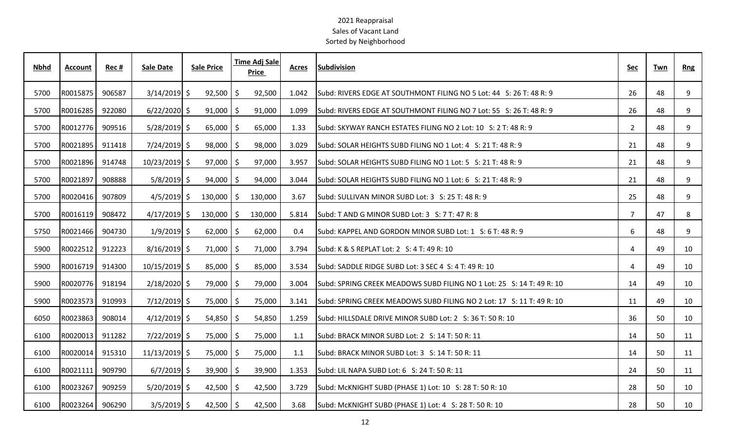| <b>Nbhd</b> | <b>Account</b> | Rec#   | <b>Sale Date</b> | <b>Sale Price</b> | <b>Time Adj Sale</b><br>Price |         | <b>Acres</b> | <b>Subdivision</b>                                                    | <b>Sec</b>     | Twn | <b>Rng</b> |
|-------------|----------------|--------|------------------|-------------------|-------------------------------|---------|--------------|-----------------------------------------------------------------------|----------------|-----|------------|
| 5700        | R0015875       | 906587 | $3/14/2019$ \$   | 92,500            | \$                            | 92,500  | 1.042        | Subd: RIVERS EDGE AT SOUTHMONT FILING NO 5 Lot: 44 S: 26 T: 48 R: 9   | 26             | 48  | 9          |
| 5700        | R0016285       | 922080 | $6/22/2020$ \$   | $91,000$   \$     |                               | 91,000  | 1.099        | Subd: RIVERS EDGE AT SOUTHMONT FILING NO 7 Lot: 55 S: 26 T: 48 R: 9   | 26             | 48  | 9          |
| 5700        | R0012776       | 909516 | $5/28/2019$ \$   | $65,000$   \$     |                               | 65,000  | 1.33         | Subd: SKYWAY RANCH ESTATES FILING NO 2 Lot: 10 S: 2 T: 48 R: 9        | $\overline{2}$ | 48  | 9          |
| 5700        | R0021895       | 911418 | $7/24/2019$ \$   | $98,000$ \$       |                               | 98,000  | 3.029        | Subd: SOLAR HEIGHTS SUBD FILING NO 1 Lot: 4 S: 21 T: 48 R: 9          | 21             | 48  | 9          |
| 5700        | R0021896       | 914748 | 10/23/2019 \$    | $97,000$   \$     |                               | 97,000  | 3.957        | Subd: SOLAR HEIGHTS SUBD FILING NO 1 Lot: 5 S: 21 T: 48 R: 9          | 21             | 48  | 9          |
| 5700        | R0021897       | 908888 | $5/8/2019$ \$    | $94,000$   \$     |                               | 94,000  | 3.044        | Subd: SOLAR HEIGHTS SUBD FILING NO 1 Lot: 6 S: 21 T: 48 R: 9          | 21             | 48  | 9          |
| 5700        | R0020416       | 907809 | $4/5/2019$ \$    | $130,000$   \$    |                               | 130,000 | 3.67         | Subd: SULLIVAN MINOR SUBD Lot: 3 S: 25 T: 48 R: 9                     | 25             | 48  | 9          |
| 5700        | R0016119       | 908472 | $4/17/2019$ \$   | $130,000$   \$    |                               | 130,000 | 5.814        | Subd: T AND G MINOR SUBD Lot: 3 S: 7 T: 47 R: 8                       | $\overline{7}$ | 47  | 8          |
| 5750        | R0021466       | 904730 | $1/9/2019$ \$    | $62,000$   \$     |                               | 62,000  | 0.4          | Subd: KAPPEL AND GORDON MINOR SUBD Lot: 1 S: 6 T: 48 R: 9             | 6              | 48  | 9          |
| 5900        | R0022512       | 912223 | $8/16/2019$ \$   | $71,000$   \$     |                               | 71,000  | 3.794        | Subd: K & S REPLAT Lot: 2 S: 4 T: 49 R: 10                            | 4              | 49  | 10         |
| 5900        | R0016719       | 914300 | 10/15/2019 \$    | $85,000$   \$     |                               | 85,000  | 3.534        | Subd: SADDLE RIDGE SUBD Lot: 3 SEC 4 S: 4 T: 49 R: 10                 | 4              | 49  | 10         |
| 5900        | R0020776       | 918194 | $2/18/2020$ \$   | 79,000 \$         |                               | 79,000  | 3.004        | Subd: SPRING CREEK MEADOWS SUBD FILING NO 1 Lot: 25 S: 14 T: 49 R: 10 | 14             | 49  | 10         |
| 5900        | R0023573       | 910993 | $7/12/2019$ \$   | 75,000   \$       |                               | 75,000  | 3.141        | Subd: SPRING CREEK MEADOWS SUBD FILING NO 2 Lot: 17 S: 11 T: 49 R: 10 | 11             | 49  | 10         |
| 6050        | R0023863       | 908014 | $4/12/2019$ \$   | $54,850$ \$       |                               | 54,850  | 1.259        | Subd: HILLSDALE DRIVE MINOR SUBD Lot: 2 S: 36 T: 50 R: 10             | 36             | 50  | 10         |
| 6100        | R0020013       | 911282 | $7/22/2019$ \$   | 75,000            | \$                            | 75,000  | 1.1          | Subd: BRACK MINOR SUBD Lot: 2 S: 14 T: 50 R: 11                       | 14             | 50  | 11         |
| 6100        | R0020014       | 915310 | $11/13/2019$ \$  | 75,000   \$       |                               | 75,000  | 1.1          | Subd: BRACK MINOR SUBD Lot: 3 S: 14 T: 50 R: 11                       | 14             | 50  | 11         |
| 6100        | R0021111       | 909790 | $6/7/2019$ \$    | $39,900$   \$     |                               | 39,900  | 1.353        | Subd: LIL NAPA SUBD Lot: 6 S: 24 T: 50 R: 11                          | 24             | 50  | 11         |
| 6100        | R0023267       | 909259 | $5/20/2019$ \$   | $42,500$   \$     |                               | 42,500  | 3.729        | Subd: McKNIGHT SUBD (PHASE 1) Lot: 10 S: 28 T: 50 R: 10               | 28             | 50  | 10         |
| 6100        | R0023264       | 906290 | $3/5/2019$ \$    | $42,500$   \$     |                               | 42,500  | 3.68         | Subd: McKNIGHT SUBD (PHASE 1) Lot: 4 S: 28 T: 50 R: 10                | 28             | 50  | 10         |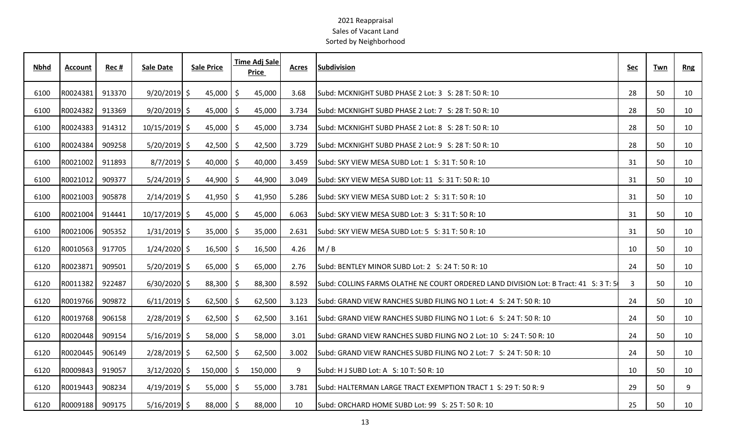| <b>Nbhd</b> | Account  | Rec #  | <b>Sale Date</b> | <b>Sale Price</b> |     | Time Adj Sale<br><b>Price</b> | <b>Acres</b> | <b>Subdivision</b>                                                                   | <u>Sec</u> | Twn | <b>Rng</b> |
|-------------|----------|--------|------------------|-------------------|-----|-------------------------------|--------------|--------------------------------------------------------------------------------------|------------|-----|------------|
| 6100        | R0024381 | 913370 | $9/20/2019$ \$   | 45,000            | \$  | 45,000                        | 3.68         | Subd: MCKNIGHT SUBD PHASE 2 Lot: 3 S: 28 T: 50 R: 10                                 | 28         | 50  | 10         |
| 6100        | R0024382 | 913369 | $9/20/2019$ \$   | $45,000$   \$     |     | 45,000                        | 3.734        | Subd: MCKNIGHT SUBD PHASE 2 Lot: 7 S: 28 T: 50 R: 10                                 | 28         | 50  | 10         |
| 6100        | R0024383 | 914312 | 10/15/2019 \$    | $45,000$   \$     |     | 45,000                        | 3.734        | Subd: MCKNIGHT SUBD PHASE 2 Lot: 8 S: 28 T: 50 R: 10                                 | 28         | 50  | 10         |
| 6100        | R0024384 | 909258 | $5/20/2019$ \$   | $42,500$   \$     |     | 42,500                        | 3.729        | Subd: MCKNIGHT SUBD PHASE 2 Lot: 9 S: 28 T: 50 R: 10                                 | 28         | 50  | 10         |
| 6100        | R0021002 | 911893 | $8/7/2019$ \$    | 40,000            | -\$ | 40,000                        | 3.459        | Subd: SKY VIEW MESA SUBD Lot: 1 S: 31 T: 50 R: 10                                    | 31         | 50  | 10         |
| 6100        | R0021012 | 909377 | $5/24/2019$ \$   | 44,900            | -\$ | 44,900                        | 3.049        | Subd: SKY VIEW MESA SUBD Lot: 11 S: 31 T: 50 R: 10                                   | 31         | 50  | 10         |
| 6100        | R0021003 | 905878 | $2/14/2019$ \$   | $41,950$   \$     |     | 41,950                        | 5.286        | Subd: SKY VIEW MESA SUBD Lot: 2 S: 31 T: 50 R: 10                                    | 31         | 50  | 10         |
| 6100        | R0021004 | 914441 | $10/17/2019$ \$  | $45,000$   \$     |     | 45,000                        | 6.063        | Subd: SKY VIEW MESA SUBD Lot: 3 S: 31 T: 50 R: 10                                    | 31         | 50  | 10         |
| 6100        | R0021006 | 905352 | $1/31/2019$ \$   | $35,000$   \$     |     | 35,000                        | 2.631        | Subd: SKY VIEW MESA SUBD Lot: 5 S: 31 T: 50 R: 10                                    | 31         | 50  | 10         |
| 6120        | R0010563 | 917705 | $1/24/2020$ \$   | $16,500$   \$     |     | 16,500                        | 4.26         | M/B                                                                                  | 10         | 50  | 10         |
| 6120        | R0023871 | 909501 | $5/20/2019$ \$   | 65,000            | S   | 65,000                        | 2.76         | Subd: BENTLEY MINOR SUBD Lot: 2 S: 24 T: 50 R: 10                                    | 24         | 50  | 10         |
| 6120        | R0011382 | 922487 | $6/30/2020$ \$   | 88,300            | S   | 88,300                        | 8.592        | Subd: COLLINS FARMS OLATHE NE COURT ORDERED LAND DIVISION Lot: B Tract: 41 S: 3 T: 5 | 3          | 50  | 10         |
| 6120        | R0019766 | 909872 | $6/11/2019$ \$   | $62,500$   \$     |     | 62,500                        | 3.123        | Subd: GRAND VIEW RANCHES SUBD FILING NO 1 Lot: 4 S: 24 T: 50 R: 10                   | 24         | 50  | 10         |
| 6120        | R0019768 | 906158 | $2/28/2019$ \$   | $62,500$   \$     |     | 62,500                        | 3.161        | Subd: GRAND VIEW RANCHES SUBD FILING NO 1 Lot: 6 S: 24 T: 50 R: 10                   | 24         | 50  | 10         |
| 6120        | R0020448 | 909154 | $5/16/2019$ \$   | $58,000$   \$     |     | 58,000                        | 3.01         | lSubd: GRAND VIEW RANCHES SUBD FILING NO 2 Lot: 10 S: 24 T: 50 R: 10                 | 24         | 50  | 10         |
| 6120        | R0020445 | 906149 | $2/28/2019$ \$   | 62,500            | S   | 62,500                        | 3.002        | Subd: GRAND VIEW RANCHES SUBD FILING NO 2 Lot: 7 S: 24 T: 50 R: 10                   | 24         | 50  | 10         |
| 6120        | R0009843 | 919057 | $3/12/2020$ \$   | 150,000           | Ŝ.  | 150,000                       | 9            | Subd: H J SUBD Lot: A S: 10 T: 50 R: 10                                              | 10         | 50  | 10         |
| 6120        | R0019443 | 908234 | $4/19/2019$ \$   | 55,000            | \$  | 55,000                        | 3.781        | Subd: HALTERMAN LARGE TRACT EXEMPTION TRACT 1 S: 29 T: 50 R: 9                       | 29         | 50  | 9          |
| 6120        | R0009188 | 909175 | $5/16/2019$ \$   | $88,000$   \$     |     | 88,000                        | 10           | Subd: ORCHARD HOME SUBD Lot: 99 S: 25 T: 50 R: 10                                    | 25         | 50  | 10         |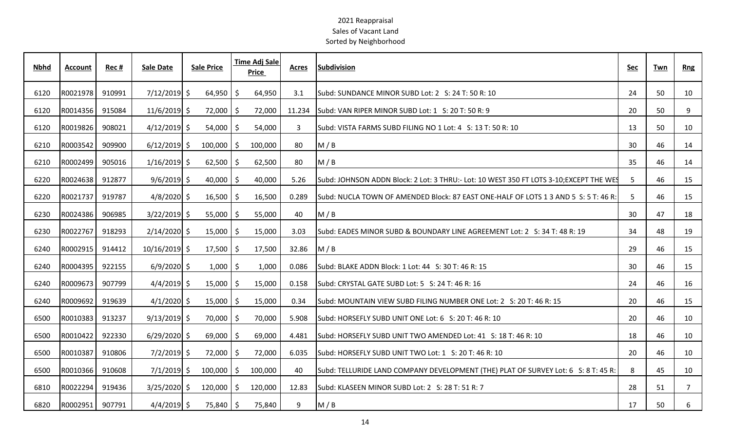| <b>Nbhd</b> | Account  | Rec#   | <b>Sale Date</b> | <b>Sale Price</b> |     | <b>Time Adj Sale</b><br>Price | Acres  | <b>Subdivision</b>                                                                     | <b>Sec</b> | Twn | <b>Rng</b>     |
|-------------|----------|--------|------------------|-------------------|-----|-------------------------------|--------|----------------------------------------------------------------------------------------|------------|-----|----------------|
| 6120        | R0021978 | 910991 | $7/12/2019$ \$   | 64,950            |     | 64,950                        | 3.1    | Subd: SUNDANCE MINOR SUBD Lot: 2 S: 24 T: 50 R: 10                                     | 24         | 50  | 10             |
| 6120        | R0014356 | 915084 | $11/6/2019$ \$   | 72,000            | l S | 72,000                        | 11.234 | Subd: VAN RIPER MINOR SUBD Lot: 1 S: 20 T: 50 R: 9                                     | 20         | 50  | 9              |
| 6120        | R0019826 | 908021 | $4/12/2019$ \$   | $54,000$ \$       |     | 54,000                        | 3      | Subd: VISTA FARMS SUBD FILING NO 1 Lot: 4 S: 13 T: 50 R: 10                            | 13         | 50  | 10             |
| 6210        | R0003542 | 909900 | $6/12/2019$ \$   | $100,000$ \$      |     | 100,000                       | 80     | M/B                                                                                    | 30         | 46  | 14             |
| 6210        | R0002499 | 905016 | $1/16/2019$ \$   | $62,500$   \$     |     | 62,500                        | 80     | M/B                                                                                    | 35         | 46  | 14             |
| 6220        | R0024638 | 912877 | $9/6/2019$ \$    | $40,000$   \$     |     | 40,000                        | 5.26   | Subd: JOHNSON ADDN Block: 2 Lot: 3 THRU:- Lot: 10 WEST 350 FT LOTS 3-10;EXCEPT THE WES | 5          | 46  | 15             |
| 6220        | R0021737 | 919787 | $4/8/2020$ \$    | $16,500$   \$     |     | 16,500                        | 0.289  | Subd: NUCLA TOWN OF AMENDED Block: 87 EAST ONE-HALF OF LOTS 1 3 AND 5 S: 5 T: 46 R:    | 5          | 46  | 15             |
| 6230        | R0024386 | 906985 | $3/22/2019$ \$   | $55,000$   \$     |     | 55,000                        | 40     | M/B                                                                                    | 30         | 47  | 18             |
| 6230        | R0022767 | 918293 | $2/14/2020$ \$   | $15,000$   \$     |     | 15,000                        | 3.03   | Subd: EADES MINOR SUBD & BOUNDARY LINE AGREEMENT Lot: 2 S: 34 T: 48 R: 19              | 34         | 48  | 19             |
| 6240        | R0002915 | 914412 | 10/16/2019 \$    | $17,500$   \$     |     | 17,500                        | 32.86  | M/B                                                                                    | 29         | 46  | 15             |
| 6240        | R0004395 | 922155 | $6/9/2020$ \$    | $1,000$   \$      |     | 1,000                         | 0.086  | Subd: BLAKE ADDN Block: 1 Lot: 44 S: 30 T: 46 R: 15                                    | 30         | 46  | 15             |
| 6240        | R0009673 | 907799 | $4/4/2019$ \$    | $15,000$   \$     |     | 15,000                        | 0.158  | Subd: CRYSTAL GATE SUBD Lot: 5 S: 24 T: 46 R: 16                                       | 24         | 46  | 16             |
| 6240        | R0009692 | 919639 | $4/1/2020$ \$    | $15,000$   \$     |     | 15,000                        | 0.34   | Subd: MOUNTAIN VIEW SUBD FILING NUMBER ONE Lot: 2 S: 20 T: 46 R: 15                    | 20         | 46  | 15             |
| 6500        | R0010383 | 913237 | $9/13/2019$ \$   | 70,000   \$       |     | 70,000                        | 5.908  | Subd: HORSEFLY SUBD UNIT ONE Lot: 6 S: 20 T: 46 R: 10                                  | 20         | 46  | 10             |
| 6500        | R0010422 | 922330 | $6/29/2020$ \$   | $69,000$ \$       |     | 69,000                        | 4.481  | Subd: HORSEFLY SUBD UNIT TWO AMENDED Lot: 41 S: 18 T: 46 R: 10                         | 18         | 46  | 10             |
| 6500        | R0010387 | 910806 | $7/2/2019$ \$    | 72,000 \$         |     | 72,000                        | 6.035  | Subd: HORSEFLY SUBD UNIT TWO Lot: 1 S: 20 T: 46 R: 10                                  | 20         | 46  | 10             |
| 6500        | R0010366 | 910608 | $7/1/2019$ \$    | $100,000$ \$      |     | 100,000                       | 40     | Subd: TELLURIDE LAND COMPANY DEVELOPMENT (THE) PLAT OF SURVEY Lot: 6 S: 8 T: 45 R:     | 8          | 45  | 10             |
| 6810        | R0022294 | 919436 | $3/25/2020$ \$   | $120,000$ \$      |     | 120,000                       | 12.83  | Subd: KLASEEN MINOR SUBD Lot: 2 S: 28 T: 51 R: 7                                       | 28         | 51  | $\overline{7}$ |
| 6820        | R0002951 | 907791 | $4/4/2019$ \$    | 75,840   \$       |     | 75,840                        | 9      | M/B                                                                                    | 17         | 50  | 6              |